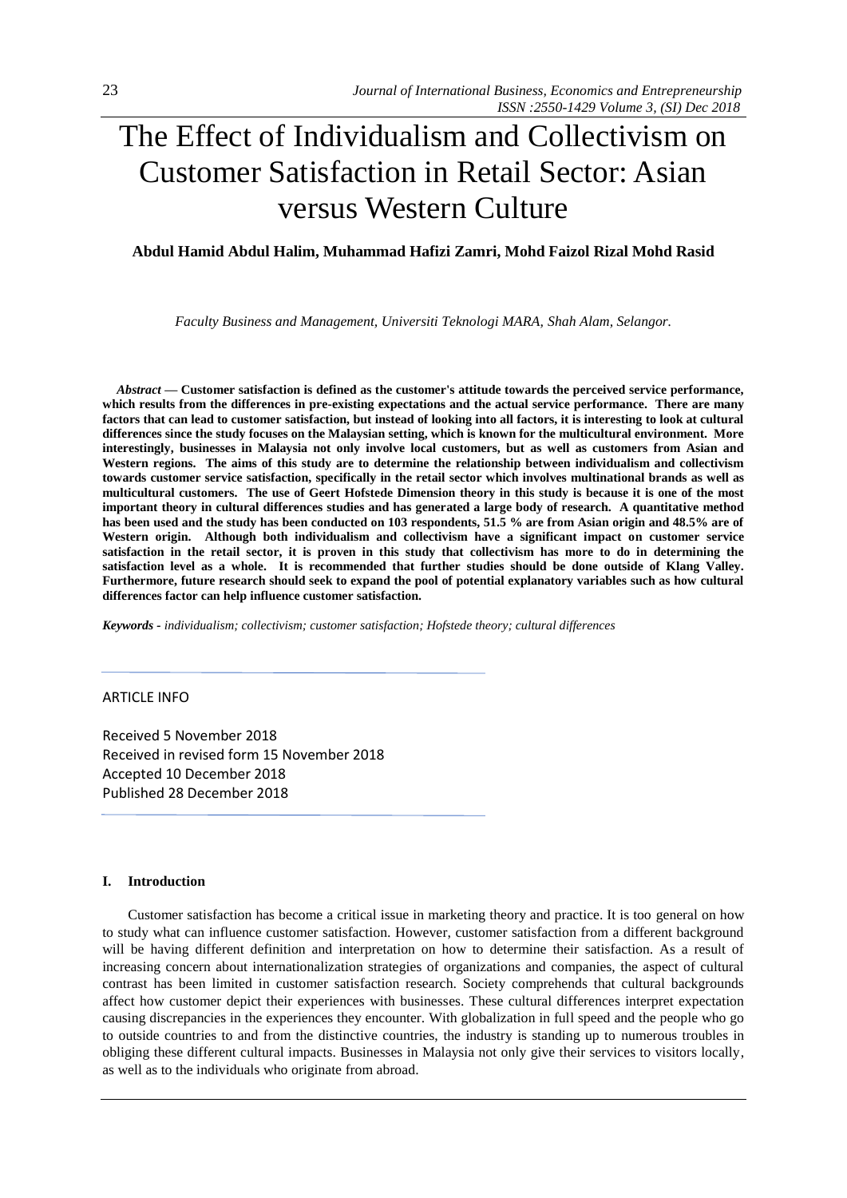# The Effect of Individualism and Collectivism on Customer Satisfaction in Retail Sector: Asian versus Western Culture

# **Abdul Hamid Abdul Halim, Muhammad Hafizi Zamri, Mohd Faizol Rizal Mohd Rasid**

*Faculty Business and Management, Universiti Teknologi MARA, Shah Alam, Selangor.*

*Abstract —* **Customer satisfaction is defined as the customer's attitude towards the perceived service performance, which results from the differences in pre-existing expectations and the actual service performance. There are many factors that can lead to customer satisfaction, but instead of looking into all factors, it is interesting to look at cultural differences since the study focuses on the Malaysian setting, which is known for the multicultural environment. More interestingly, businesses in Malaysia not only involve local customers, but as well as customers from Asian and Western regions. The aims of this study are to determine the relationship between individualism and collectivism towards customer service satisfaction, specifically in the retail sector which involves multinational brands as well as multicultural customers. The use of Geert Hofstede Dimension theory in this study is because it is one of the most important theory in cultural differences studies and has generated a large body of research. A quantitative method has been used and the study has been conducted on 103 respondents, 51.5 % are from Asian origin and 48.5% are of Western origin. Although both individualism and collectivism have a significant impact on customer service satisfaction in the retail sector, it is proven in this study that collectivism has more to do in determining the satisfaction level as a whole. It is recommended that further studies should be done outside of Klang Valley. Furthermore, future research should seek to expand the pool of potential explanatory variables such as how cultural differences factor can help influence customer satisfaction.**

*Keywords - individualism; collectivism; customer satisfaction; Hofstede theory; cultural differences*

# ARTICLE INFO

Received 5 November 2018 Received in revised form 15 November 2018 Accepted 10 December 2018 Published 28 December 2018

#### **I. Introduction**

Customer satisfaction has become a critical issue in marketing theory and practice. It is too general on how to study what can influence customer satisfaction. However, customer satisfaction from a different background will be having different definition and interpretation on how to determine their satisfaction. As a result of increasing concern about internationalization strategies of organizations and companies, the aspect of cultural contrast has been limited in customer satisfaction research. Society comprehends that cultural backgrounds affect how customer depict their experiences with businesses. These cultural differences interpret expectation causing discrepancies in the experiences they encounter. With globalization in full speed and the people who go to outside countries to and from the distinctive countries, the industry is standing up to numerous troubles in obliging these different cultural impacts. Businesses in Malaysia not only give their services to visitors locally, as well as to the individuals who originate from abroad.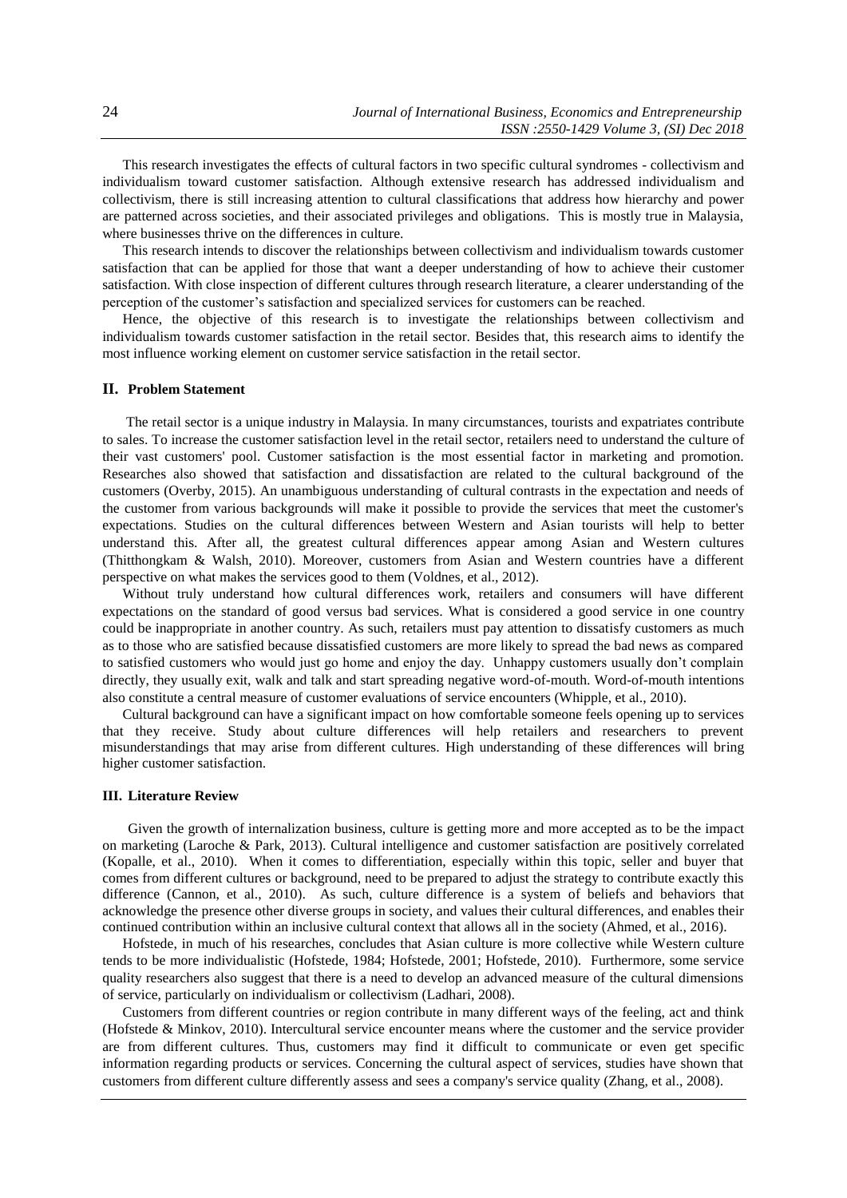This research investigates the effects of cultural factors in two specific cultural syndromes - collectivism and individualism toward customer satisfaction. Although extensive research has addressed individualism and collectivism, there is still increasing attention to cultural classifications that address how hierarchy and power are patterned across societies, and their associated privileges and obligations. This is mostly true in Malaysia, where businesses thrive on the differences in culture.

This research intends to discover the relationships between collectivism and individualism towards customer satisfaction that can be applied for those that want a deeper understanding of how to achieve their customer satisfaction. With close inspection of different cultures through research literature, a clearer understanding of the perception of the customer's satisfaction and specialized services for customers can be reached.

Hence, the objective of this research is to investigate the relationships between collectivism and individualism towards customer satisfaction in the retail sector. Besides that, this research aims to identify the most influence working element on customer service satisfaction in the retail sector.

# **II. Problem Statement**

The retail sector is a unique industry in Malaysia. In many circumstances, tourists and expatriates contribute to sales. To increase the customer satisfaction level in the retail sector, retailers need to understand the culture of their vast customers' pool. Customer satisfaction is the most essential factor in marketing and promotion. Researches also showed that satisfaction and dissatisfaction are related to the cultural background of the customers (Overby, 2015). An unambiguous understanding of cultural contrasts in the expectation and needs of the customer from various backgrounds will make it possible to provide the services that meet the customer's expectations. Studies on the cultural differences between Western and Asian tourists will help to better understand this. After all, the greatest cultural differences appear among Asian and Western cultures (Thitthongkam & Walsh, 2010). Moreover, customers from Asian and Western countries have a different perspective on what makes the services good to them (Voldnes, et al., 2012).

Without truly understand how cultural differences work, retailers and consumers will have different expectations on the standard of good versus bad services. What is considered a good service in one country could be inappropriate in another country. As such, retailers must pay attention to dissatisfy customers as much as to those who are satisfied because dissatisfied customers are more likely to spread the bad news as compared to satisfied customers who would just go home and enjoy the day. Unhappy customers usually don't complain directly, they usually exit, walk and talk and start spreading negative word-of-mouth. Word-of-mouth intentions also constitute a central measure of customer evaluations of service encounters (Whipple, et al., 2010).

Cultural background can have a significant impact on how comfortable someone feels opening up to services that they receive. Study about culture differences will help retailers and researchers to prevent misunderstandings that may arise from different cultures. High understanding of these differences will bring higher customer satisfaction.

#### **III. Literature Review**

Given the growth of internalization business, culture is getting more and more accepted as to be the impact on marketing (Laroche & Park, 2013). Cultural intelligence and customer satisfaction are positively correlated (Kopalle, et al., 2010). When it comes to differentiation, especially within this topic, seller and buyer that comes from different cultures or background, need to be prepared to adjust the strategy to contribute exactly this difference (Cannon, et al., 2010). As such, culture difference is a system of beliefs and behaviors that acknowledge the presence other diverse groups in society, and values their cultural differences, and enables their continued contribution within an inclusive cultural context that allows all in the society (Ahmed, et al., 2016).

Hofstede, in much of his researches, concludes that Asian culture is more collective while Western culture tends to be more individualistic (Hofstede, 1984; Hofstede, 2001; Hofstede, 2010). Furthermore, some service quality researchers also suggest that there is a need to develop an advanced measure of the cultural dimensions of service, particularly on individualism or collectivism (Ladhari, 2008).

Customers from different countries or region contribute in many different ways of the feeling, act and think (Hofstede & Minkov, 2010). Intercultural service encounter means where the customer and the service provider are from different cultures. Thus, customers may find it difficult to communicate or even get specific information regarding products or services. Concerning the cultural aspect of services, studies have shown that customers from different culture differently assess and sees a company's service quality (Zhang, et al., 2008).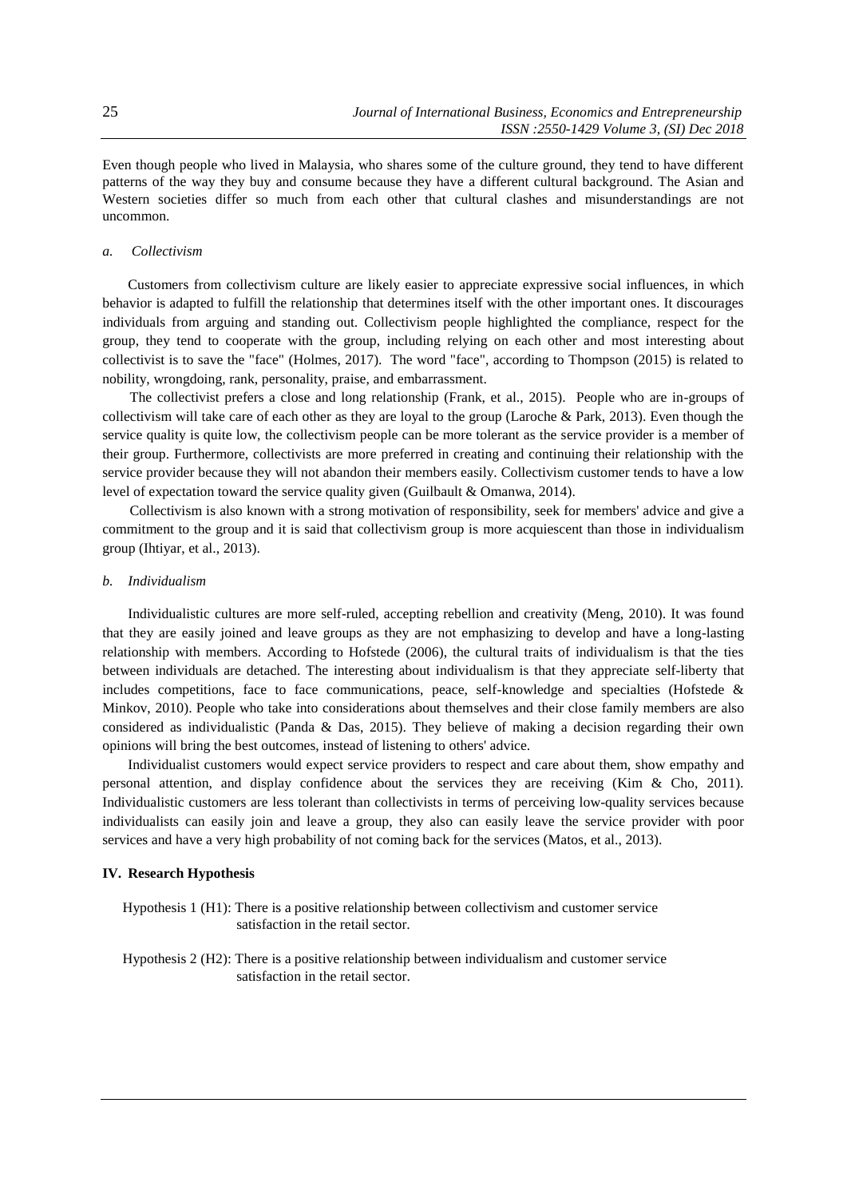Even though people who lived in Malaysia, who shares some of the culture ground, they tend to have different patterns of the way they buy and consume because they have a different cultural background. The Asian and Western societies differ so much from each other that cultural clashes and misunderstandings are not uncommon.

#### *a. Collectivism*

Customers from collectivism culture are likely easier to appreciate expressive social influences, in which behavior is adapted to fulfill the relationship that determines itself with the other important ones. It discourages individuals from arguing and standing out. Collectivism people highlighted the compliance, respect for the group, they tend to cooperate with the group, including relying on each other and most interesting about collectivist is to save the "face" (Holmes, 2017). The word "face", according to Thompson (2015) is related to nobility, wrongdoing, rank, personality, praise, and embarrassment.

The collectivist prefers a close and long relationship (Frank, et al., 2015). People who are in-groups of collectivism will take care of each other as they are loyal to the group (Laroche & Park, 2013). Even though the service quality is quite low, the collectivism people can be more tolerant as the service provider is a member of their group. Furthermore, collectivists are more preferred in creating and continuing their relationship with the service provider because they will not abandon their members easily. Collectivism customer tends to have a low level of expectation toward the service quality given (Guilbault & Omanwa, 2014).

 Collectivism is also known with a strong motivation of responsibility, seek for members' advice and give a commitment to the group and it is said that collectivism group is more acquiescent than those in individualism group (Ihtiyar, et al., 2013).

#### *b. Individualism*

Individualistic cultures are more self-ruled, accepting rebellion and creativity (Meng, 2010). It was found that they are easily joined and leave groups as they are not emphasizing to develop and have a long-lasting relationship with members. According to Hofstede (2006), the cultural traits of individualism is that the ties between individuals are detached. The interesting about individualism is that they appreciate self-liberty that includes competitions, face to face communications, peace, self-knowledge and specialties (Hofstede & Minkov, 2010). People who take into considerations about themselves and their close family members are also considered as individualistic (Panda & Das, 2015). They believe of making a decision regarding their own opinions will bring the best outcomes, instead of listening to others' advice.

Individualist customers would expect service providers to respect and care about them, show empathy and personal attention, and display confidence about the services they are receiving (Kim & Cho, 2011). Individualistic customers are less tolerant than collectivists in terms of perceiving low-quality services because individualists can easily join and leave a group, they also can easily leave the service provider with poor services and have a very high probability of not coming back for the services (Matos, et al., 2013).

#### **IV. Research Hypothesis**

Hypothesis 1 (H1): There is a positive relationship between collectivism and customer service satisfaction in the retail sector.

Hypothesis 2 (H2): There is a positive relationship between individualism and customer service satisfaction in the retail sector.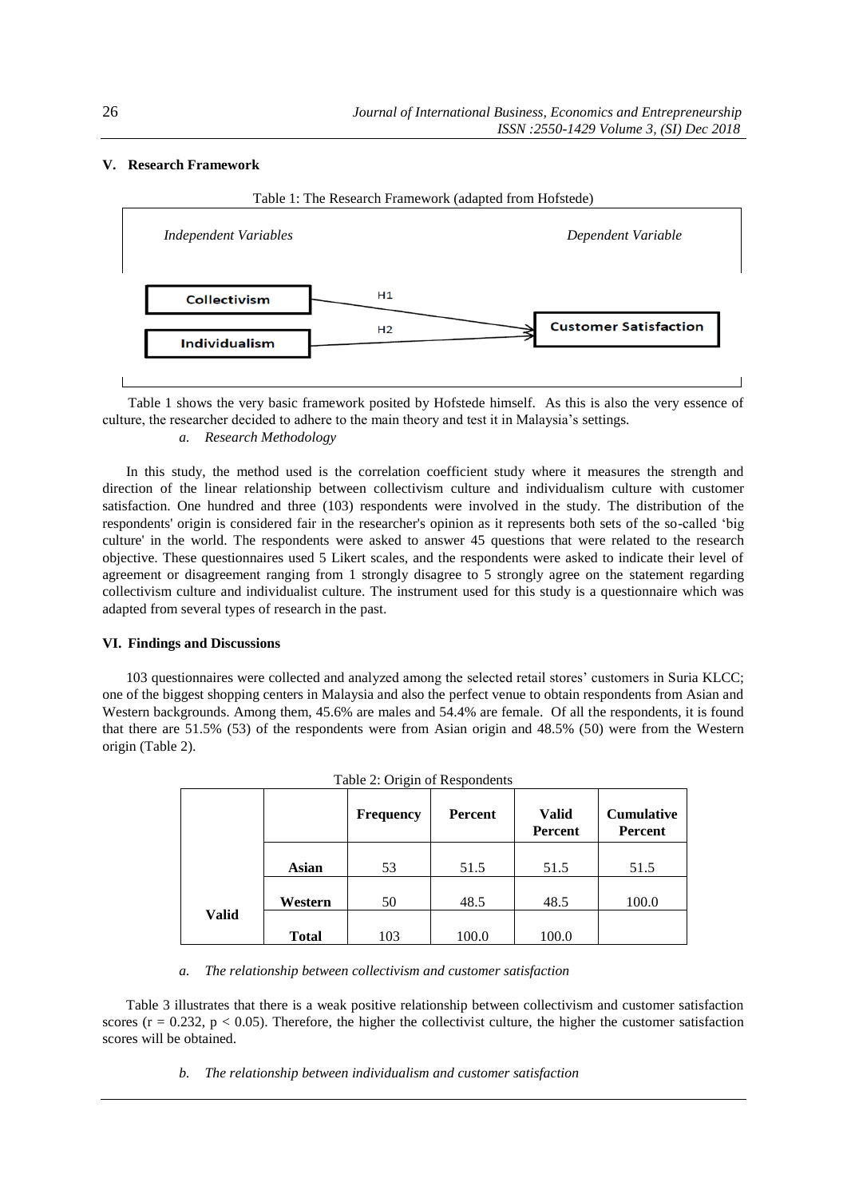# **V. Research Framework**



Table 1 shows the very basic framework posited by Hofstede himself. As this is also the very essence of culture, the researcher decided to adhere to the main theory and test it in Malaysia's settings. *a. Research Methodology*

In this study, the method used is the correlation coefficient study where it measures the strength and direction of the linear relationship between collectivism culture and individualism culture with customer satisfaction. One hundred and three (103) respondents were involved in the study. The distribution of the respondents' origin is considered fair in the researcher's opinion as it represents both sets of the so-called 'big culture' in the world. The respondents were asked to answer 45 questions that were related to the research objective. These questionnaires used 5 Likert scales, and the respondents were asked to indicate their level of agreement or disagreement ranging from 1 strongly disagree to 5 strongly agree on the statement regarding collectivism culture and individualist culture. The instrument used for this study is a questionnaire which was adapted from several types of research in the past.

# **VI. Findings and Discussions**

103 questionnaires were collected and analyzed among the selected retail stores' customers in Suria KLCC; one of the biggest shopping centers in Malaysia and also the perfect venue to obtain respondents from Asian and Western backgrounds. Among them, 45.6% are males and 54.4% are female. Of all the respondents, it is found that there are 51.5% (53) of the respondents were from Asian origin and 48.5% (50) were from the Western origin (Table 2).

|       |              | Table 2. Origin of Respondents<br><b>Frequency</b> | Percent | <b>Valid</b><br><b>Percent</b> | <b>Cumulative</b><br>Percent |
|-------|--------------|----------------------------------------------------|---------|--------------------------------|------------------------------|
|       | <b>Asian</b> | 53                                                 | 51.5    | 51.5                           | 51.5                         |
|       | Western      | 50                                                 | 48.5    | 48.5                           | 100.0                        |
| Valid | <b>Total</b> | 103                                                | 100.0   | 100.0                          |                              |

|  |  | Table 2: Origin of Respondents |
|--|--|--------------------------------|
|  |  |                                |

*a. The relationship between collectivism and customer satisfaction*

Table 3 illustrates that there is a weak positive relationship between collectivism and customer satisfaction scores ( $r = 0.232$ ,  $p < 0.05$ ). Therefore, the higher the collectivist culture, the higher the customer satisfaction scores will be obtained.

*b. The relationship between individualism and customer satisfaction*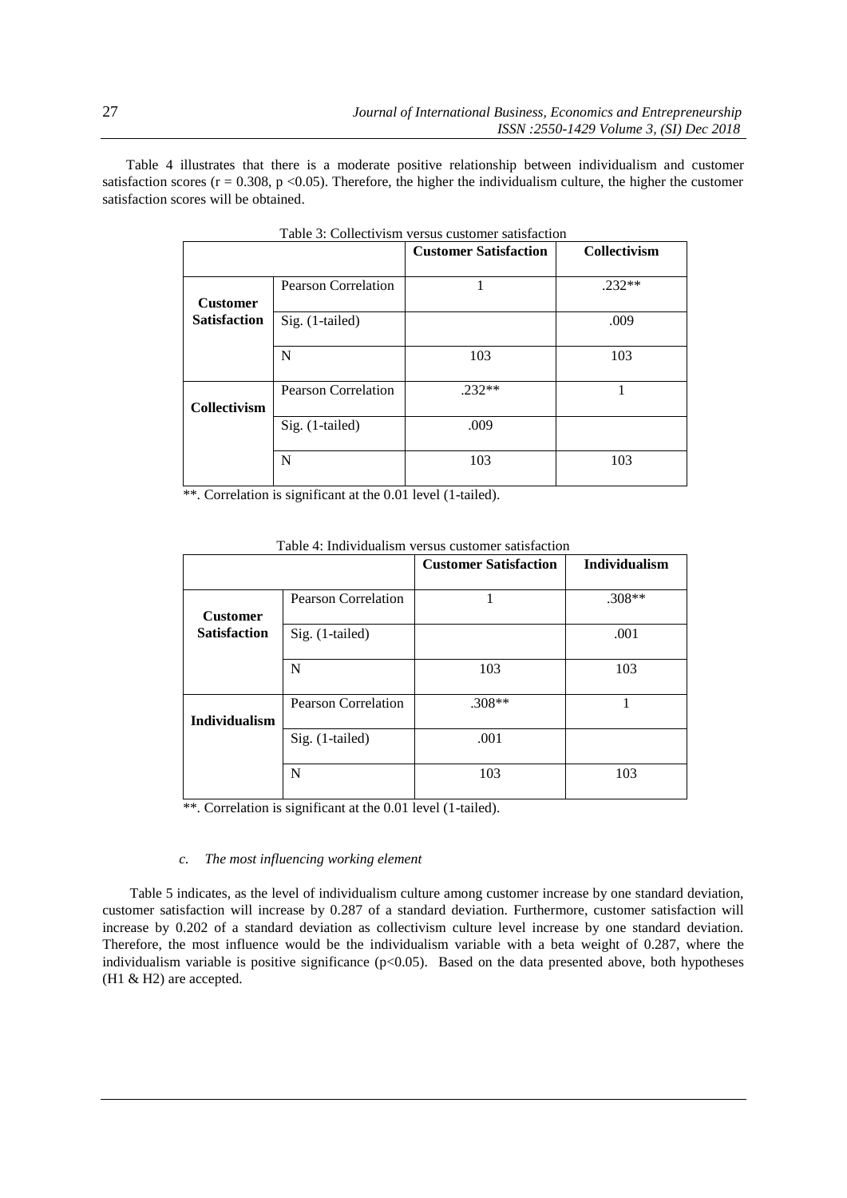Table 4 illustrates that there is a moderate positive relationship between individualism and customer satisfaction scores ( $r = 0.308$ ,  $p < 0.05$ ). Therefore, the higher the individualism culture, the higher the customer satisfaction scores will be obtained.

|                     |                            | <b>Customer Satisfaction</b> | Collectivism |  |  |
|---------------------|----------------------------|------------------------------|--------------|--|--|
| <b>Customer</b>     | <b>Pearson Correlation</b> |                              | $.232**$     |  |  |
| <b>Satisfaction</b> | Sig. (1-tailed)            |                              | .009         |  |  |
|                     | N                          | 103                          | 103          |  |  |
| Collectivism        | <b>Pearson Correlation</b> | $.232**$                     |              |  |  |
|                     | Sig. (1-tailed)            | .009                         |              |  |  |
|                     | N                          | 103                          | 103          |  |  |

Table 3: Collectivism versus customer satisfaction

\*\*. Correlation is significant at the 0.01 level (1-tailed).

|                      |                            | <b>Customer Satisfaction</b> | Individualism |
|----------------------|----------------------------|------------------------------|---------------|
|                      |                            |                              |               |
|                      | <b>Pearson Correlation</b> |                              | $.308**$      |
| <b>Customer</b>      |                            |                              |               |
| <b>Satisfaction</b>  | Sig. (1-tailed)            |                              | .001          |
|                      |                            |                              |               |
|                      | N                          | 103                          | 103           |
|                      |                            |                              |               |
|                      | Pearson Correlation        | $.308**$                     |               |
| <b>Individualism</b> |                            |                              |               |
|                      | Sig. (1-tailed)            | .001                         |               |
|                      |                            |                              |               |
|                      | N                          | 103                          | 103           |
|                      |                            |                              |               |

Table 4: Individualism versus customer satisfaction

\*\*. Correlation is significant at the 0.01 level (1-tailed).

# *c. The most influencing working element*

 Table 5 indicates, as the level of individualism culture among customer increase by one standard deviation, customer satisfaction will increase by 0.287 of a standard deviation. Furthermore, customer satisfaction will increase by 0.202 of a standard deviation as collectivism culture level increase by one standard deviation. Therefore, the most influence would be the individualism variable with a beta weight of 0.287, where the individualism variable is positive significance  $(p<0.05)$ . Based on the data presented above, both hypotheses (H1 & H2) are accepted.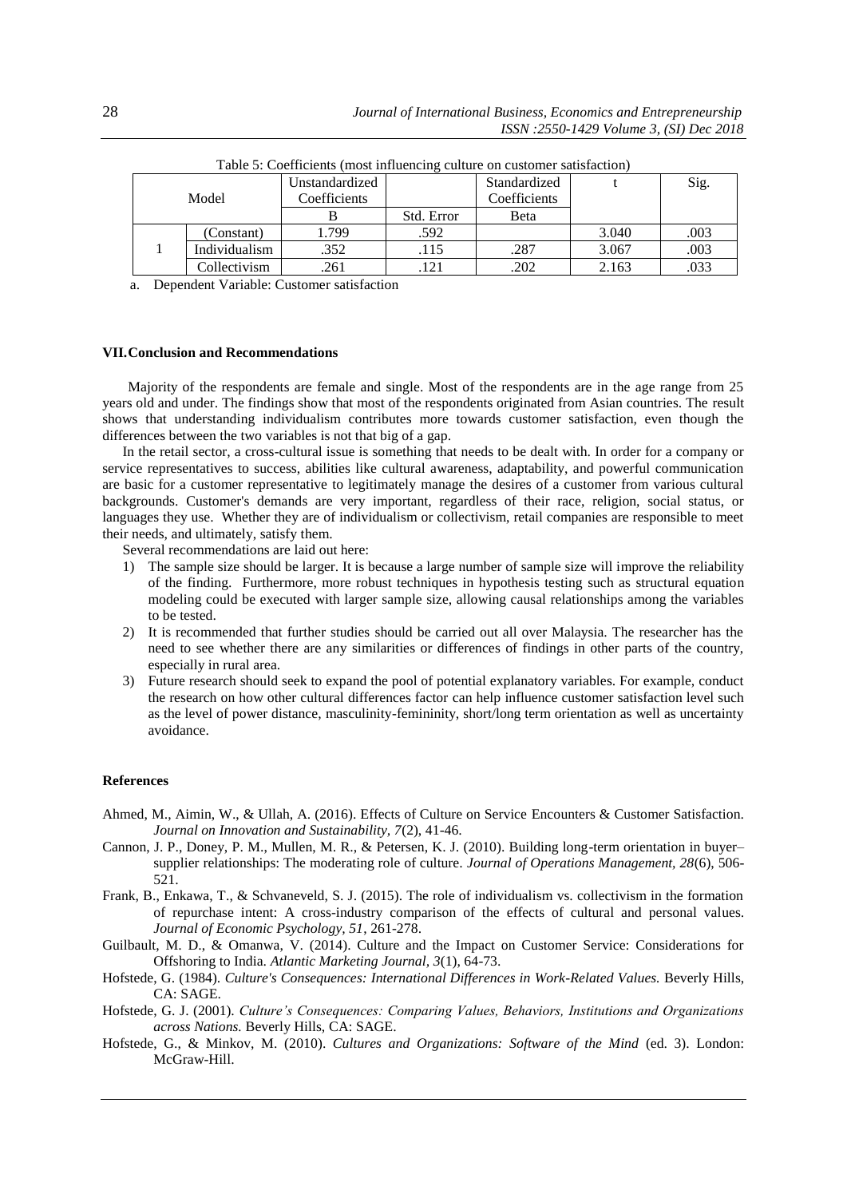| Model |               | Unstandardized |            | Standardized |       | Sig. |
|-------|---------------|----------------|------------|--------------|-------|------|
|       |               | Coefficients   |            | Coefficients |       |      |
|       |               | в              | Std. Error | Beta         |       |      |
|       | (Constant)    | .799           | .592       |              | 3.040 | .003 |
|       | Individualism | .352           | .115       | .287         | 3.067 | .003 |
|       | Collectivism  | .261           | 121        | .202         | 2.163 | .033 |

Table 5: Coefficients (most influencing culture on customer satisfaction)

a. Dependent Variable: Customer satisfaction

# **VII.Conclusion and Recommendations**

Majority of the respondents are female and single. Most of the respondents are in the age range from 25 years old and under. The findings show that most of the respondents originated from Asian countries. The result shows that understanding individualism contributes more towards customer satisfaction, even though the differences between the two variables is not that big of a gap.

In the retail sector, a cross-cultural issue is something that needs to be dealt with. In order for a company or service representatives to success, abilities like cultural awareness, adaptability, and powerful communication are basic for a customer representative to legitimately manage the desires of a customer from various cultural backgrounds. Customer's demands are very important, regardless of their race, religion, social status, or languages they use. Whether they are of individualism or collectivism, retail companies are responsible to meet their needs, and ultimately, satisfy them.

Several recommendations are laid out here:

- 1) The sample size should be larger. It is because a large number of sample size will improve the reliability of the finding. Furthermore, more robust techniques in hypothesis testing such as structural equation modeling could be executed with larger sample size, allowing causal relationships among the variables to be tested.
- 2) It is recommended that further studies should be carried out all over Malaysia. The researcher has the need to see whether there are any similarities or differences of findings in other parts of the country, especially in rural area.
- 3) Future research should seek to expand the pool of potential explanatory variables. For example, conduct the research on how other cultural differences factor can help influence customer satisfaction level such as the level of power distance, masculinity-femininity, short/long term orientation as well as uncertainty avoidance.

# **References**

- Ahmed, M., Aimin, W., & Ullah, A. (2016). Effects of Culture on Service Encounters & Customer Satisfaction. *Journal on Innovation and Sustainability, 7*(2), 41-46.
- Cannon, J. P., Doney, P. M., Mullen, M. R., & Petersen, K. J. (2010). Building long-term orientation in buyer– supplier relationships: The moderating role of culture. *Journal of Operations Management, 28*(6), 506- 521.
- Frank, B., Enkawa, T., & Schvaneveld, S. J. (2015). The role of individualism vs. collectivism in the formation of repurchase intent: A cross-industry comparison of the effects of cultural and personal values. *Journal of Economic Psychology, 51*, 261-278.
- Guilbault, M. D., & Omanwa, V. (2014). Culture and the Impact on Customer Service: Considerations for Offshoring to India. *Atlantic Marketing Journal, 3*(1), 64-73.
- Hofstede, G. (1984). *Culture's Consequences: International Differences in Work-Related Values.* Beverly Hills, CA: SAGE.
- Hofstede, G. J. (2001). *Culture's Consequences: Comparing Values, Behaviors, Institutions and Organizations across Nations.* Beverly Hills, CA: SAGE.
- Hofstede, G., & Minkov, M. (2010). *Cultures and Organizations: Software of the Mind* (ed. 3). London: McGraw-Hill.